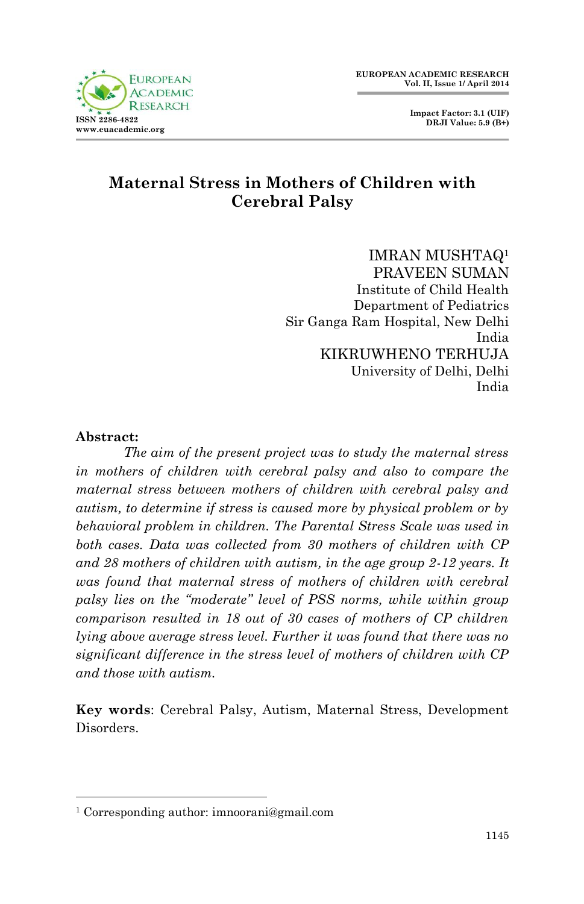



# **Maternal Stress in Mothers of Children with Cerebral Palsy**

IMRAN MUSHTAQ<sup>1</sup> PRAVEEN SUMAN Institute of Child Health Department of Pediatrics Sir Ganga Ram Hospital, New Delhi India KIKRUWHENO TERHUJA University of Delhi, Delhi India

#### **Abstract:**

1

*The aim of the present project was to study the maternal stress in mothers of children with cerebral palsy and also to compare the maternal stress between mothers of children with cerebral palsy and autism, to determine if stress is caused more by physical problem or by behavioral problem in children. The Parental Stress Scale was used in both cases. Data was collected from 30 mothers of children with CP and 28 mothers of children with autism, in the age group 2-12 years. It was found that maternal stress of mothers of children with cerebral palsy lies on the "moderate" level of PSS norms, while within group comparison resulted in 18 out of 30 cases of mothers of CP children lying above average stress level. Further it was found that there was no significant difference in the stress level of mothers of children with CP and those with autism.*

**Key words**: Cerebral Palsy, Autism, Maternal Stress, Development Disorders.

<sup>1</sup> Corresponding author: imnoorani@gmail.com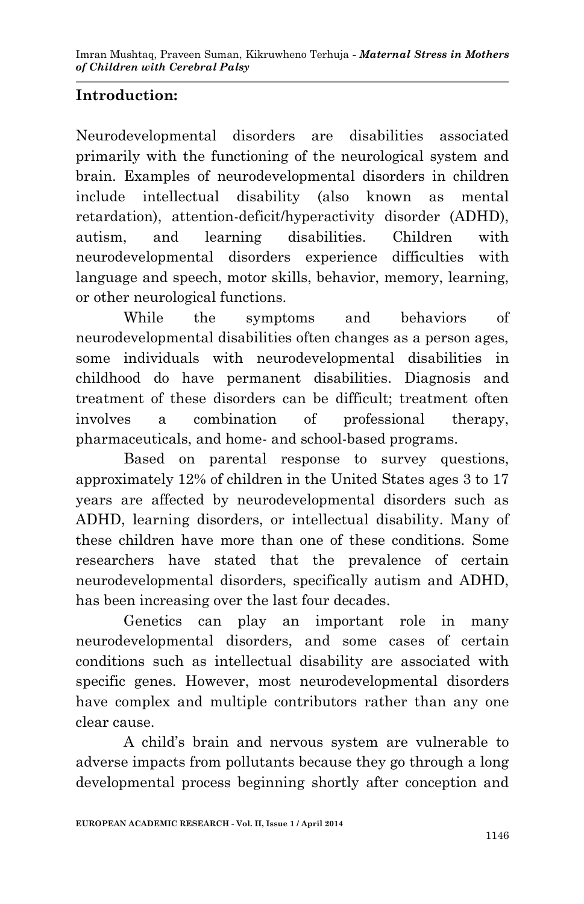## **Introduction:**

Neurodevelopmental disorders are disabilities associated primarily with the functioning of the neurological system and brain. Examples of neurodevelopmental disorders in children include intellectual disability (also known as mental retardation), attention-deficit/hyperactivity disorder (ADHD), autism, and learning disabilities. Children with neurodevelopmental disorders experience difficulties with language and speech, motor skills, behavior, memory, learning, or other neurological functions.

While the symptoms and behaviors of neurodevelopmental disabilities often changes as a person ages, some individuals with neurodevelopmental disabilities in childhood do have permanent disabilities. Diagnosis and treatment of these disorders can be difficult; treatment often involves a combination of professional therapy, pharmaceuticals, and home- and school-based programs.

Based on parental response to survey questions, approximately 12% of children in the United States ages 3 to 17 years are affected by neurodevelopmental disorders such as ADHD, learning disorders, or intellectual disability. Many of these children have more than one of these conditions. Some researchers have stated that the prevalence of certain neurodevelopmental disorders, specifically autism and ADHD, has been increasing over the last four decades.

Genetics can play an important role in many neurodevelopmental disorders, and some cases of certain conditions such as intellectual disability are associated with specific genes. However, most neurodevelopmental disorders have complex and multiple contributors rather than any one clear cause.

A child's brain and nervous system are vulnerable to adverse impacts from pollutants because they go through a long developmental process beginning shortly after conception and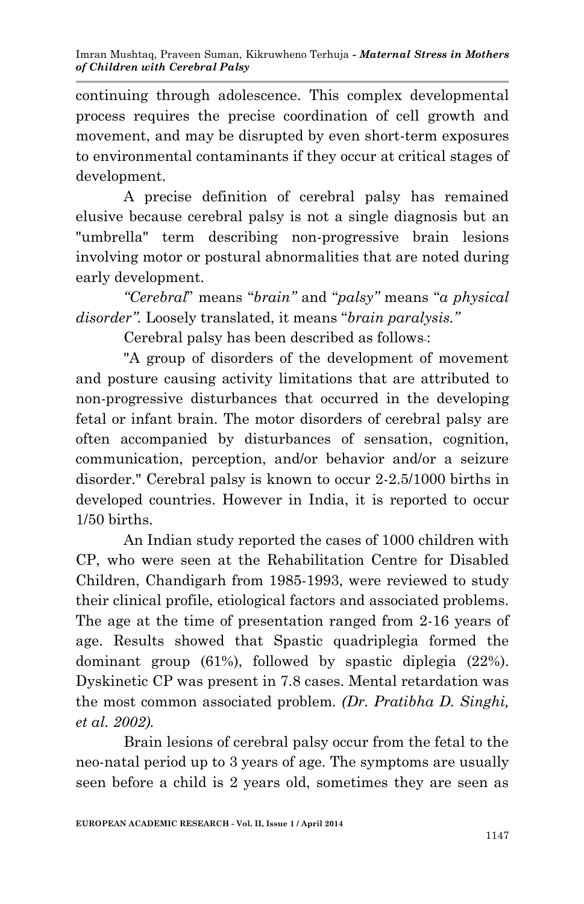continuing through adolescence. This complex developmental process requires the precise coordination of cell growth and movement, and may be disrupted by even short-term exposures to environmental contaminants if they occur at critical stages of development.

A precise definition of cerebral palsy has remained elusive because cerebral palsy is not a single diagnosis but an "umbrella" term describing non-progressive brain lesions involving motor or postural abnormalities that are noted during early development.

*"Cerebral*" means "*brain"* and "*palsy"* means "*a physical disorder".* Loosely translated, it means "*brain paralysis."*

Cerebral palsy has been described as follows :

"A group of disorders of the development of movement and posture causing activity limitations that are attributed to non-progressive disturbances that occurred in the developing fetal or infant brain. The motor disorders of cerebral palsy are often accompanied by disturbances of sensation, cognition, communication, perception, and/or behavior and/or a seizure disorder." Cerebral palsy is known to occur 2-2.5/1000 births in developed countries. However in India, it is reported to occur 1/50 births.

An Indian study reported the cases of 1000 children with CP, who were seen at the Rehabilitation Centre for Disabled Children, Chandigarh from 1985-1993, were reviewed to study their clinical profile, etiological factors and associated problems. The age at the time of presentation ranged from 2-16 years of age. Results showed that Spastic quadriplegia formed the dominant group (61%), followed by spastic diplegia (22%). Dyskinetic CP was present in 7.8 cases. Mental retardation was the most common associated problem*. (Dr. Pratibha D. Singhi, et al. 2002).*

Brain lesions of cerebral palsy occur from the fetal to the neo-natal period up to 3 years of age. The symptoms are usually seen before a child is 2 years old, sometimes they are seen as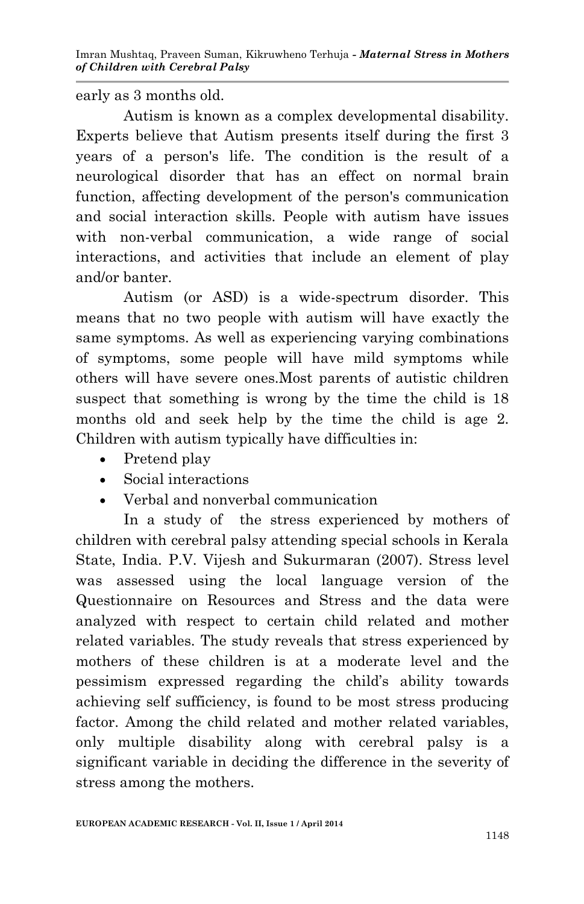early as 3 months old.

Autism is known as a complex developmental disability. Experts believe that Autism presents itself during the first 3 years of a person's life. The condition is the result of a neurological disorder that has an effect on normal brain function, affecting development of the person's communication and social interaction skills. People with autism have issues with non-verbal communication, a wide range of social interactions, and activities that include an element of play and/or banter.

Autism (or ASD) is a wide-spectrum disorder. This means that no two people with autism will have exactly the same symptoms. As well as experiencing varying combinations of symptoms, some people will have mild symptoms while others will have severe ones.Most parents of autistic children suspect that something is wrong by the time the child is 18 months old and seek help by the time the child is age 2. Children with autism typically have difficulties in:

- Pretend play
- Social interactions
- Verbal and nonverbal communication

In a study of the stress experienced by mothers of children with cerebral palsy attending special schools in Kerala State, India. P.V. Vijesh and Sukurmaran (2007). Stress level was assessed using the local language version of the Questionnaire on Resources and Stress and the data were analyzed with respect to certain child related and mother related variables. The study reveals that stress experienced by mothers of these children is at a moderate level and the pessimism expressed regarding the child's ability towards achieving self sufficiency, is found to be most stress producing factor. Among the child related and mother related variables, only multiple disability along with cerebral palsy is a significant variable in deciding the difference in the severity of stress among the mothers.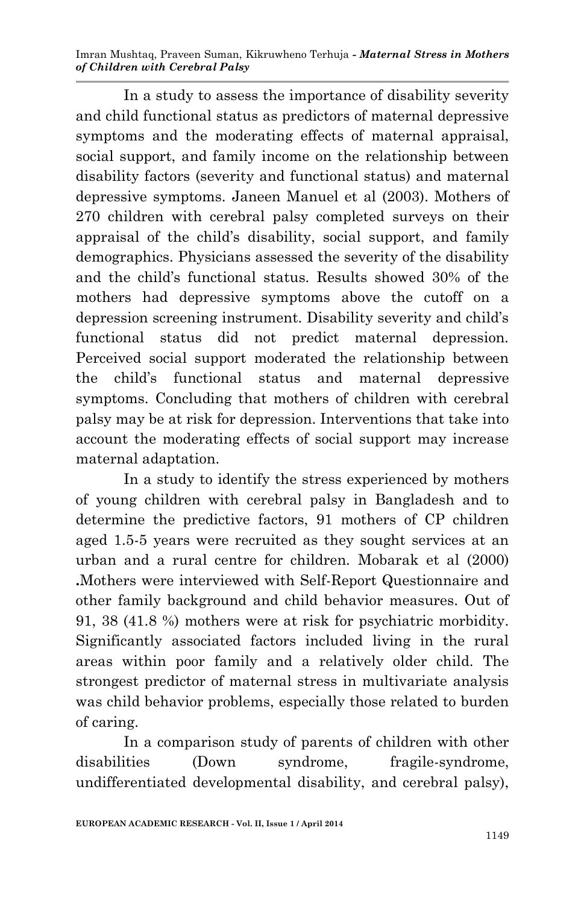Imran Mushtaq, Praveen Suman, Kikruwheno Terhuja *- Maternal Stress in Mothers of Children with Cerebral Palsy*

In a study to assess the importance of disability severity and child functional status as predictors of maternal depressive symptoms and the moderating effects of maternal appraisal, social support, and family income on the relationship between disability factors (severity and functional status) and maternal depressive symptoms. Janeen Manuel et al (2003). Mothers of 270 children with cerebral palsy completed surveys on their appraisal of the child's disability, social support, and family demographics. Physicians assessed the severity of the disability and the child's functional status. Results showed 30% of the mothers had depressive symptoms above the cutoff on a depression screening instrument. Disability severity and child's functional status did not predict maternal depression. Perceived social support moderated the relationship between the child's functional status and maternal depressive symptoms. Concluding that mothers of children with cerebral palsy may be at risk for depression. Interventions that take into account the moderating effects of social support may increase maternal adaptation.

In a study to identify the stress experienced by mothers of young children with cerebral palsy in Bangladesh and to determine the predictive factors, 91 mothers of CP children aged 1.5-5 years were recruited as they sought services at an urban and a rural centre for children. Mobarak et al (2000) **.**Mothers were interviewed with Self-Report Questionnaire and other family background and child behavior measures. Out of 91, 38 (41.8 %) mothers were at risk for psychiatric morbidity. Significantly associated factors included living in the rural areas within poor family and a relatively older child. The strongest predictor of maternal stress in multivariate analysis was child behavior problems, especially those related to burden of caring.

In a comparison study of parents of children with other disabilities (Down syndrome, fragile-syndrome, undifferentiated developmental disability, and cerebral palsy),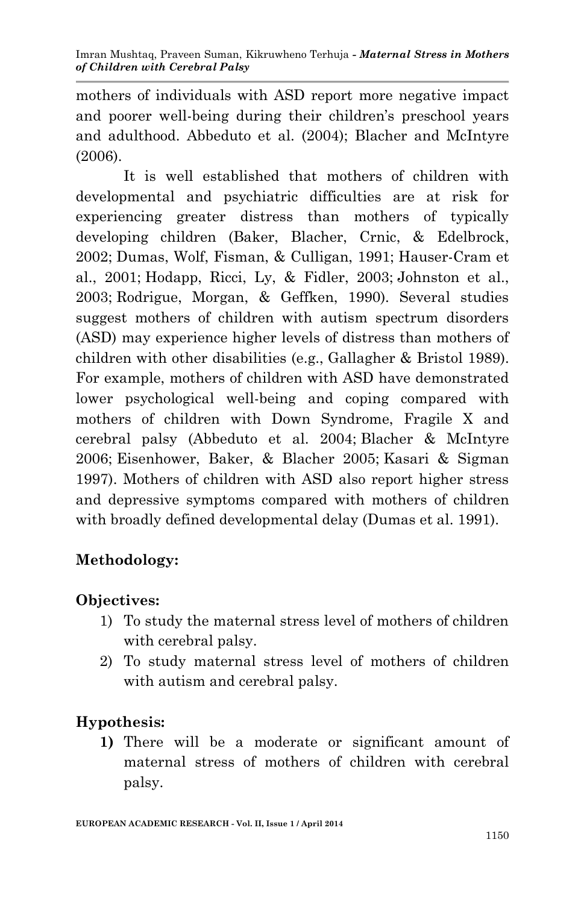mothers of individuals with ASD report more negative impact and poorer well-being during their children's preschool years and adulthood. Abbeduto et al. (2004); Blacher and McIntyre (2006).

It is well established that mothers of children with developmental and psychiatric difficulties are at risk for experiencing greater distress than mothers of typically developing children (Baker, Blacher, Crnic, & Edelbrock, 2002; Dumas, Wolf, Fisman, & Culligan, 1991; Hauser-Cram et al., 2001; Hodapp, Ricci, Ly, & Fidler, 2003; Johnston et al., 2003; Rodrigue, Morgan, & Geffken, 1990). Several studies suggest mothers of children with autism spectrum disorders (ASD) may experience higher levels of distress than mothers of children with other disabilities (e.g., Gallagher & Bristol 1989). For example, mothers of children with ASD have demonstrated lower psychological well-being and coping compared with mothers of children with Down Syndrome, Fragile X and cerebral palsy (Abbeduto et al. 2004; Blacher & McIntyre 2006; Eisenhower, Baker, & Blacher 2005; Kasari & Sigman 1997). Mothers of children with ASD also report higher stress and depressive symptoms compared with mothers of children with broadly defined developmental delay (Dumas et al. 1991).

# **Methodology:**

### **Objectives:**

- 1) To study the maternal stress level of mothers of children with cerebral palsy.
- 2) To study maternal stress level of mothers of children with autism and cerebral palsy.

### **Hypothesis:**

**1)** There will be a moderate or significant amount of maternal stress of mothers of children with cerebral palsy.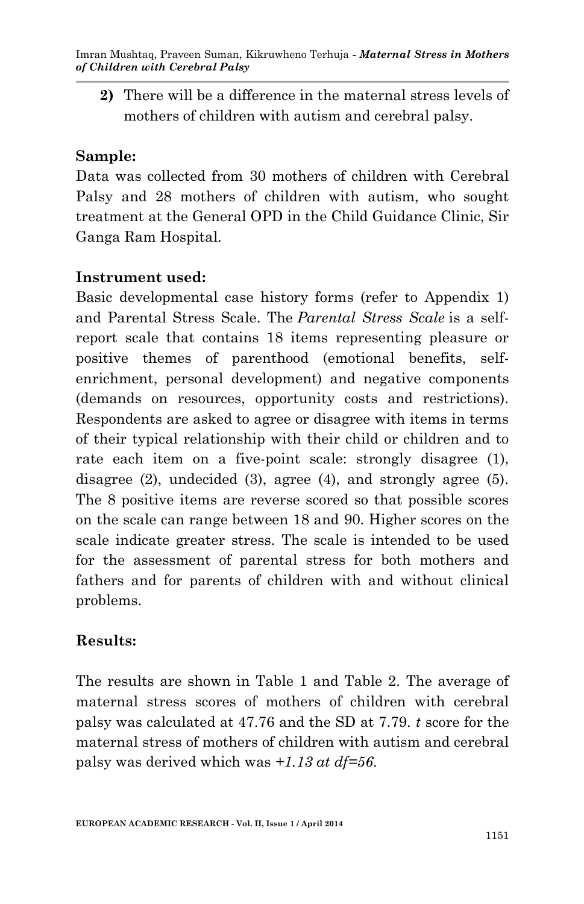**2)** There will be a difference in the maternal stress levels of mothers of children with autism and cerebral palsy.

#### **Sample:**

Data was collected from 30 mothers of children with Cerebral Palsy and 28 mothers of children with autism, who sought treatment at the General OPD in the Child Guidance Clinic, Sir Ganga Ram Hospital.

#### **Instrument used:**

Basic developmental case history forms (refer to Appendix 1) and Parental Stress Scale. The *Parental Stress Scale* is a selfreport scale that contains 18 items representing pleasure or positive themes of parenthood (emotional benefits, selfenrichment, personal development) and negative components (demands on resources, opportunity costs and restrictions). Respondents are asked to agree or disagree with items in terms of their typical relationship with their child or children and to rate each item on a five-point scale: strongly disagree (1), disagree (2), undecided (3), agree (4), and strongly agree (5). The 8 positive items are reverse scored so that possible scores on the scale can range between 18 and 90. Higher scores on the scale indicate greater stress. The scale is intended to be used for the assessment of parental stress for both mothers and fathers and for parents of children with and without clinical problems.

### **Results:**

The results are shown in Table 1 and Table 2. The average of maternal stress scores of mothers of children with cerebral palsy was calculated at 47.76 and the SD at 7.79. *t* score for the maternal stress of mothers of children with autism and cerebral palsy was derived which was *+1.13 at df=56*.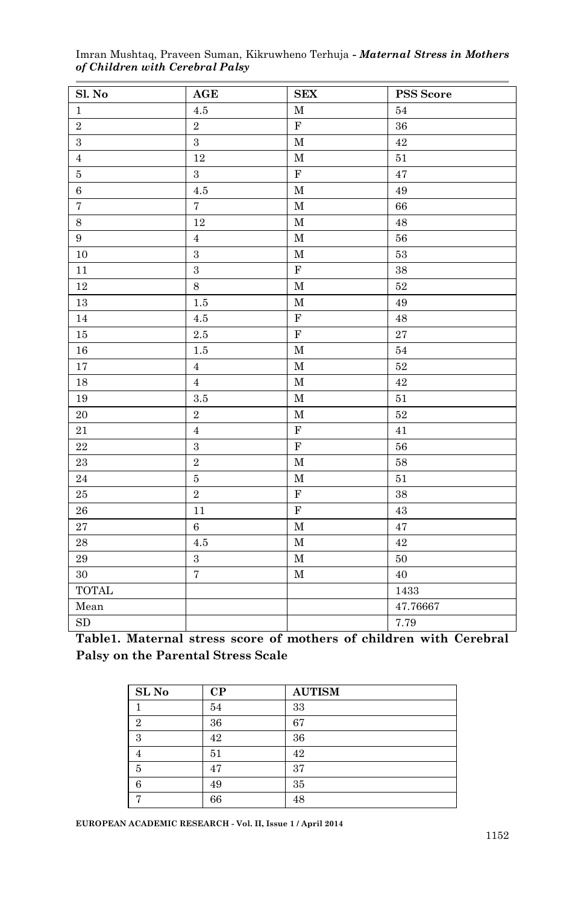| Sl. No         | AGE                     | ${\bf SEX}$             | PSS Score   |
|----------------|-------------------------|-------------------------|-------------|
| $\,1$          | $4.5\,$                 | $\mathbf M$             | $54\,$      |
| $\,2$          | $\,2\,$                 | $\mathbf F$             | 36          |
| $\,3\,$        | $\overline{3}$          | $\mathbf M$             | 42          |
| $\bf{4}$       | $12\,$                  | $\mathbf M$             | $51\,$      |
| $\bf 5$        | $\,3\,$                 | $\overline{\textbf{F}}$ | 47          |
| $\,6\,$        | $4.5\,$                 | $\mathbf M$             | 49          |
| $\overline{7}$ | $\overline{7}$          | $\mathbf M$             | 66          |
| $\,8\,$        | $12\,$                  | $\mathbf M$             | $\rm 48$    |
| $\, 9$         | $\overline{4}$          | $\mathbf M$             | $56\,$      |
| $10\,$         | $\,3$                   | $\mathbf M$             | $53\,$      |
| $11\,$         | $\overline{3}$          | $\overline{\text{F}}$   | 38          |
| $12\,$         | $\,8\,$                 | $\mathbf M$             | $52\,$      |
| $13\,$         | $1.5\,$                 | $\mathbf M$             | 49          |
| $14\,$         | $4.5\,$                 | $\mathbf F$             | $\rm 48$    |
| $15\,$         | $2.5\,$                 | $\overline{\text{F}}$   | $\sqrt{27}$ |
| $16\,$         | $1.5\,$                 | $\mathbf M$             | $\bf{54}$   |
| 17             | $\overline{4}$          | $\mathbf M$             | $52\,$      |
| $18\,$         | $\overline{4}$          | $\mathbf M$             | 42          |
| $19\,$         | $\!.5$                  | $\mathbf M$             | $51\,$      |
| $20\,$         | $\,2\,$                 | $\mathbf M$             | $52\,$      |
| $21\,$         | $\overline{4}$          | $\overline{\mathrm{F}}$ | $41\,$      |
| $\bf 22$       | $\overline{\mathbf{3}}$ | $\mathbf F$             | $56\,$      |
| $\bf 23$       | $\overline{2}$          | $\mathbf M$             | 58          |
| $\sqrt{24}$    | $\bf 5$                 | $\mathbf M$             | $51\,$      |
| $25\,$         | $\overline{2}$          | $\mathbf F$             | 38          |
| ${\bf 26}$     | 11                      | $\overline{\text{F}}$   | 43          |
| $\sqrt{27}$    | $\overline{6}$          | $\mathbf M$             | 47          |
| $\rm 28$       | $4.5\,$                 | $\mathbf M$             | 42          |
| $\rm 29$       | $\,3$                   | $\mathbf M$             | $50\,$      |
| $30\,$         | $\scriptstyle{7}$       | $\mathbf M$             | 40          |
| <b>TOTAL</b>   |                         |                         | 1433        |
| Mean           |                         |                         | 47.76667    |
| ${\rm SD}$     |                         |                         | 7.79        |

Imran Mushtaq, Praveen Suman, Kikruwheno Terhuja *- Maternal Stress in Mothers of Children with Cerebral Palsy*

**Table1. Maternal stress score of mothers of children with Cerebral Palsy on the Parental Stress Scale**

| SL <sub>No</sub> | $\bf CP$ | <b>AUTISM</b> |
|------------------|----------|---------------|
|                  | 54       | 33            |
| 2                | 36       | 67            |
| 3                | 42       | 36            |
| 4                | 51       | 42            |
| 5                | 47       | 37            |
| 6                | 49       | 35            |
| −                | 66       | 48            |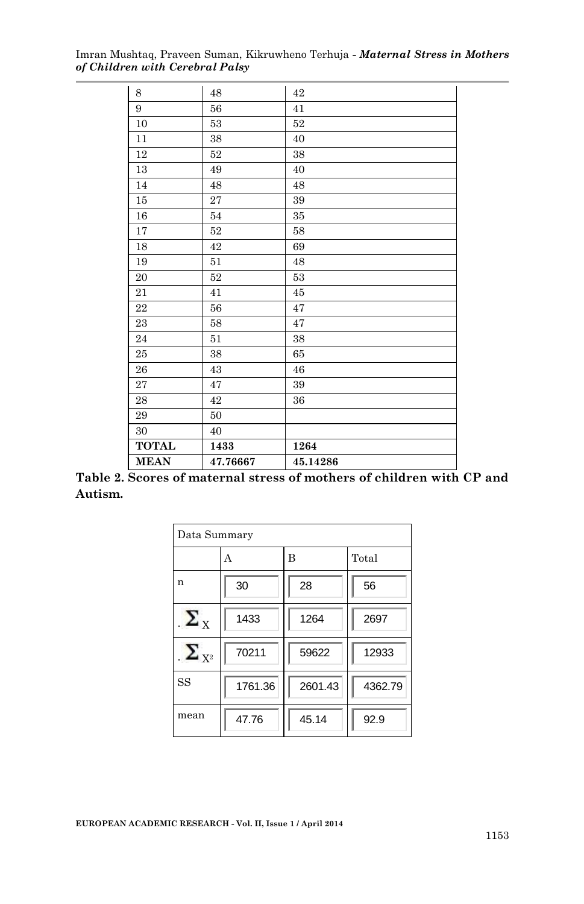Imran Mushtaq, Praveen Suman, Kikruwheno Terhuja *- Maternal Stress in Mothers of Children with Cerebral Palsy*

| 8            | 48       | 42       |
|--------------|----------|----------|
| 9            | 56       | 41       |
| 10           | 53       | $52\,$   |
| 11           | 38       | 40       |
| 12           | 52       | 38       |
| 13           | 49       | 40       |
| 14           | 48       | 48       |
| 15           | 27       | 39       |
| 16           | 54       | 35       |
| 17           | 52       | 58       |
| 18           | 42       | 69       |
| 19           | 51       | 48       |
| 20           | 52       | 53       |
| 21           | 41       | 45       |
| 22           | 56       | 47       |
| 23           | 58       | 47       |
| 24           | 51       | 38       |
| 25           | 38       | 65       |
| 26           | 43       | 46       |
| 27           | 47       | 39       |
| 28           | 42       | 36       |
| 29           | 50       |          |
| 30           | 40       |          |
| <b>TOTAL</b> | 1433     | 1264     |
| <b>MEAN</b>  | 47.76667 | 45.14286 |

**Table 2. Scores of maternal stress of mothers of children with CP and Autism.**

| Data Summary          |         |         |         |
|-----------------------|---------|---------|---------|
|                       | A       | B       | Total   |
| n                     | 30      | 28      | 56      |
| $\Sigma_{\rm x}$      | 1433    | 1264    | 2697    |
| $\sum_{\mathrm{X}^2}$ | 70211   | 59622   | 12933   |
| SS                    | 1761.36 | 2601.43 | 4362.79 |
| mean                  | 47.76   | 45.14   | 92.9    |

**EUROPEAN ACADEMIC RESEARCH - Vol. II, Issue 1 / April 2014**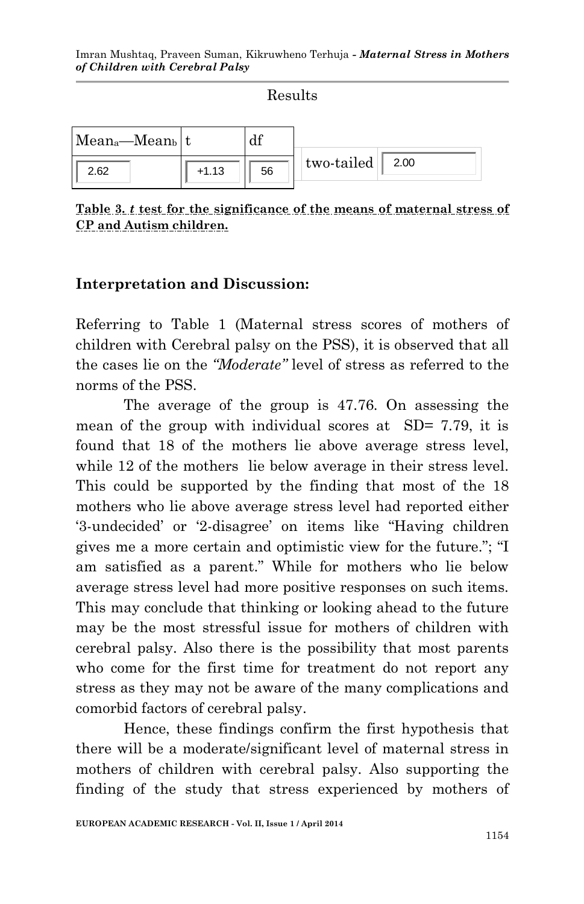|                                        |         | Results |                         |
|----------------------------------------|---------|---------|-------------------------|
| Mean <sub>a</sub> —Mean <sub>b</sub> t |         |         |                         |
| 2.62                                   | $+1.13$ | 56      | two-tailed $\vert$ 2.00 |

**Table 3.** *t* **test for the significance of the means of maternal stress of CP and Autism children.**

#### **Interpretation and Discussion:**

Referring to Table 1 (Maternal stress scores of mothers of children with Cerebral palsy on the PSS), it is observed that all the cases lie on the *"Moderate"* level of stress as referred to the norms of the PSS.

The average of the group is 47.76. On assessing the mean of the group with individual scores at SD= 7.79, it is found that 18 of the mothers lie above average stress level, while 12 of the mothers lie below average in their stress level. This could be supported by the finding that most of the 18 mothers who lie above average stress level had reported either '3-undecided' or '2-disagree' on items like "Having children gives me a more certain and optimistic view for the future."; "I am satisfied as a parent." While for mothers who lie below average stress level had more positive responses on such items. This may conclude that thinking or looking ahead to the future may be the most stressful issue for mothers of children with cerebral palsy. Also there is the possibility that most parents who come for the first time for treatment do not report any stress as they may not be aware of the many complications and comorbid factors of cerebral palsy.

Hence, these findings confirm the first hypothesis that there will be a moderate/significant level of maternal stress in mothers of children with cerebral palsy. Also supporting the finding of the study that stress experienced by mothers of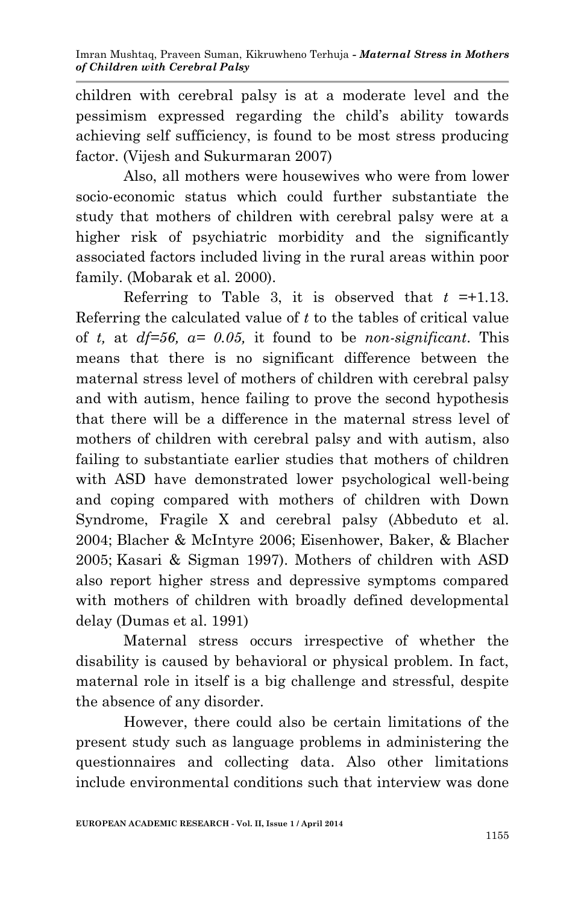children with cerebral palsy is at a moderate level and the pessimism expressed regarding the child's ability towards achieving self sufficiency, is found to be most stress producing factor. (Vijesh and Sukurmaran 2007)

Also, all mothers were housewives who were from lower socio-economic status which could further substantiate the study that mothers of children with cerebral palsy were at a higher risk of psychiatric morbidity and the significantly associated factors included living in the rural areas within poor family. (Mobarak et al. 2000).

Referring to Table 3, it is observed that  $t = +1.13$ . Referring the calculated value of *t* to the tables of critical value of *t,* at *df=56, α= 0.05,* it found to be *non-significant*. This means that there is no significant difference between the maternal stress level of mothers of children with cerebral palsy and with autism, hence failing to prove the second hypothesis that there will be a difference in the maternal stress level of mothers of children with cerebral palsy and with autism, also failing to substantiate earlier studies that mothers of children with ASD have demonstrated lower psychological well-being and coping compared with mothers of children with Down Syndrome, Fragile X and cerebral palsy (Abbeduto et al. 2004; Blacher & McIntyre 2006; Eisenhower, Baker, & Blacher 2005; Kasari & Sigman 1997). Mothers of children with ASD also report higher stress and depressive symptoms compared with mothers of children with broadly defined developmental delay (Dumas et al. 1991)

Maternal stress occurs irrespective of whether the disability is caused by behavioral or physical problem. In fact, maternal role in itself is a big challenge and stressful, despite the absence of any disorder.

However, there could also be certain limitations of the present study such as language problems in administering the questionnaires and collecting data. Also other limitations include environmental conditions such that interview was done